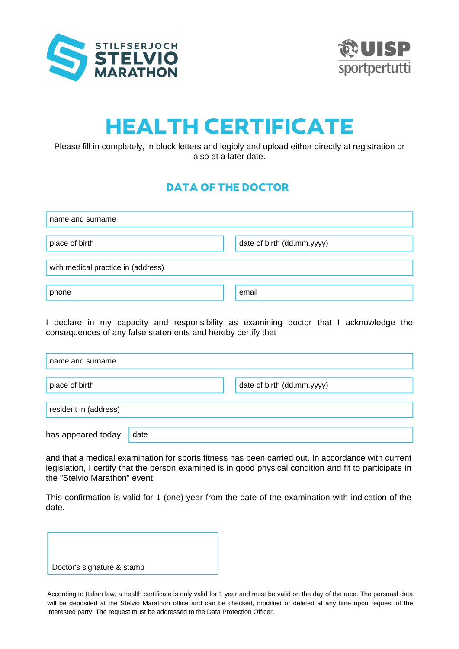



## HEALTH CERTIFICATE

Please fill in completely, in block letters and legibly and upload either directly at registration or also at a later date.

## DATA OF THE DOCTOR

| name and surname                   |                            |  |  |  |
|------------------------------------|----------------------------|--|--|--|
| place of birth                     | date of birth (dd.mm.yyyy) |  |  |  |
| with medical practice in (address) |                            |  |  |  |
| phone                              | email                      |  |  |  |

I declare in my capacity and responsibility as examining doctor that I acknowledge the consequences of any false statements and hereby certify that

| name and surname      |      |                            |
|-----------------------|------|----------------------------|
| place of birth        |      | date of birth (dd.mm.yyyy) |
| resident in (address) |      |                            |
| has appeared today    | date |                            |

and that a medical examination for sports fitness has been carried out. In accordance with current legislation, I certify that the person examined is in good physical condition and fit to participate in the "Stelvio Marathon" event.

This confirmation is valid for 1 (one) year from the date of the examination with indication of the date.



According to Italian law, a health certificate is only valid for 1 year and must be valid on the day of the race. The personal data will be deposited at the Stelvio Marathon office and can be checked, modified or deleted at any time upon request of the interested party. The request must be addressed to the Data Protection Officer.